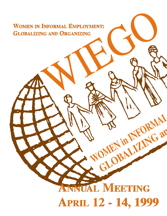INFORMAL EMPLOYMENT: **WOMEN IN INFORMAL EMPLOYMENT : WOMEN IN INFORMAL EMPLOYMENT : GLOBALIZING AND ORGANIZING** 

# **ANNUAL MEETING ANNUAL MEETING APRIL 12 - 14, 1999 APRIL 12 - 14, 1999**

**CLOBALIZING and**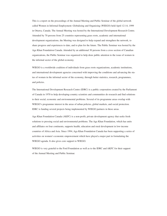This is a report on the proceedings of the Annual Meeting and Public Seminar of the global network called Women in Informal Employment: Globalizing and Organizing (WIEGO) held April 12-14, 1999 in Ottawa, Canada. The Annual Meeting was hosted by the International Development Research Centre. Attended by 70 persons from 25 countries representing grass roots, academic and international development organizations, the Meeting was designed to help expand and strengthen the network, to share progress and experiences to date, and to plan for the future. The Public Seminar was hosted by the Aga Khan Foundation Canada. Attended by an additional 30 persons from a cross section of Canadian organizations, the Public Seminar was organized to help draw public attention to the issue of women in the informal sector of the global economy.

WIEGO is a worldwide coalition of individuals from grass roots organizations, academic institutions, and international development agencies concerned with improving the conditions and advancing the status of women in the informal sector of the economy, through better statistics, research, programmes, and policies.

The International Development Research Centre (IDRC) is a public corporation created by the Parliament of Canada in 1970 to help developing-country scientists and communities do research and find solutions to their social, economic and environmental problems. Several of its programme areas overlap with WIEGO's programme interest in the areas of urban policies, global markets, and social protection. IDRC is funding several projects being implemented by WIEGO partners in these areas.

Aga Khan Foundation Canada (AKFC) is a non-profit, private development agency that seeks fresh solutions to pressing social and environmental problems. The Aga Khan Foundation, which has units and affiliates on four continents, supports health, education and rural development in low-income countries of Africa and Asia. Since 1994, Aga Khan Foundation Canada has been supporting a series of activities on women's economic empowerment which have played a major part in formulating the WIEGO agenda. It also gives core support to WIEGO.

WIEGO is very grateful to the Ford Foundation as well as to the IDRC and AKFC for their support of the Annual Meeting and Public Seminar.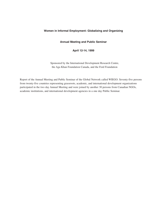#### **Women in Informal Employment: Globalizing and Organizing**

#### **Annual Meeting and Public Seminar**

**April 12-14, 1999**

Sponsored by the International Development Research Centre, the Aga Khan Foundation Canada, and the Ford Foundation

Report of the Annual Meeting and Public Seminar of the Global Network called WIEGO. Seventy-five persons from twenty-five countries representing grassroots, academic, and international development organizations participated in the two day Annual Meeting and were joined by another 30 persons from Canadian NGOs, academic institutions, and international development agencies in a one day Public Seminar.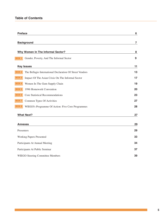# **Table of Contents**

| <b>Preface</b>                                                           |                         |
|--------------------------------------------------------------------------|-------------------------|
| <b>Background</b>                                                        | $\overline{\mathbf{z}}$ |
| Why Women In The Informal Sector?                                        | 8                       |
| <b>BOX 1</b><br>Gender, Poverty, And The Informal Sector                 | 9                       |
| <b>Key Issues</b>                                                        | 11                      |
| <b>BOX 2</b><br>The Bellagio International Declaration Of Street Vendors | 13                      |
| BOX 3<br>Impact Of The Asian Crisis On The Informal Sector               | 17                      |
| <b>BOX 4</b><br>Women In The Gum Supply Chain                            | 19                      |
| <b>BOX 5</b><br>1996 Homework Convention                                 | 20                      |
| <b>BOX 6</b><br><b>Core Statistical Recommendations</b>                  | 23                      |
| <b>BOX7</b><br>Common Types Of Activities                                | 27                      |
| <b>BOX 8</b><br>WIEGO's Programme Of Action: Five Core Programmes        | 28                      |
| <b>What Next?</b>                                                        | 27                      |
| <b>Annexes</b>                                                           | 29                      |
| Presenters                                                               | 29                      |
| <b>Working Papers Presented</b>                                          | 33                      |
| Participants At Annual Meeting                                           | 34                      |
| Participants At Public Seminar                                           | 37                      |
| <b>WIEGO Steering Committee Members</b>                                  | 39                      |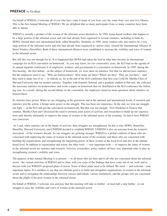On behalf of WIEGO, I welcome all of you who have come ñ many of you from very far, some from very near ñ to Ottawa. This is the first Annual Meeting of WIEGO. We are delighted that so many participants from so many countries have been able to attend.

WIEGO is actually a product of the women of the informal sector themselves. In 1994, home-based workers who happen to be a large portion of the informal sector and who had already been organized in several countries, including in India by SEWA, formed their own international body called HomeNet. Similarly, in 1995, street vendors who also tend to be a very large portion of the informal sector and who had already been organized in various cities, formed the International Alliance of Street Vendors (StreetNet). Both of these international alliances were established to increase the visibility and voice of women in the informal sector.

But still this was not enough for us. It so happened that SEWA had taken the lead in what later became an international campaign for an ILO convention on homework. As you may know, for two consecutive years, the ILO had on the agenda of its annual tripartite conference ñ of employers, workers, and governments ñ a convention on homework. In 1995, during the first hearing - the first debate - on the subject of homework, we were short on statistics. Not that we did not have statistics, but the employers used to say: "Who are homeworkers? How many are there? Where are they? They are not there." And they used to make fun of us — to ridicule us. So at the end of the ILO conference that first year I told Dr. Martha Chen of Harvard University that we needed statistics. Together with Jennefer Sebstad, and a graduate student at Harvard, she collected the necessary statistics on homeworkers and wrote a paper on homework that we distributed at the ILO conference the following year. As a result, during the second debate on the convention, the employers raised no more questions about statistics on homeworkers.

So statistics have power. When we are struggling at the grassroots and at the national and international levels, if research and statistics join the action, it brings more power to the struggle. This has been our experience. In the end, we won our struggle our fight — at the ILO and got the convention on homework. But that was not enough. Over breakfast in Geneva that summer, Martha Chen and I discussed the need to promote joint action of activists and researchers to build up our organizations and, thereby ultimately, to improve the status of women in the informal sector of the economy. So that is how WIEGO was conceived.

As I said, when statistics are in the hands of activists, then struggles are strengthened. So this is why SEWA, HomeNet, StreetNet, Harvard University, and UNIFEM decided to establish WIEGO. UNIFEM is also an outcome from the women's movement - of the women's decade. So our struggles are growing stronger. WIEGO is a global coalition of those who are concerned with improving the status of women in the informal sector of the economy and those who are concerned with building the organizations and strengthening the bargaining power of these women at the local level and also at the international level. In addition to organization and action, the other tools — very important tools — to improve the status of women in the informal sector are statistics and research. Activists, researchers, policy makers all have very important roles to play in strengthening women's visibility and voice.

The purpose of this Annual Meeting is to present — to all those who are here and to all who are concerned about the informal sector - the various activities of WIEGO and to share with you some of the findings that have come out of our work and to discuss with you WIEGO's proposed plans of action. Some of these plans need to be refined. We need — and welcome - your important inputs. It is needless to say that our ultimate goal is to build and strengthen organizations of women in the informal sector and to strengthen the relationships between various individuals, various institutions, and the groups who are concerned about the plight of the poor women in the informal sector.

On behalf of WIEGO, I welcome you and pray that this meeting will take us further - at least half a step further - in our struggle to raise the visibility and voice of women in the informal sector.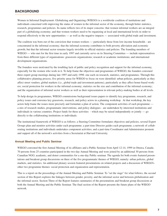Women in Informal Employment: Globalizing and Organizing (WIEGO) is a worldwide coalition of institutions and individuals concerned with improving the status of women in the informal sector of the economy, through better statistics, research, programmes and policies. Its name reflects two of its major concerns: that women informal workers are an integral part of a globalizing economy; and that women workers need to be organizing at local and international levels in order to respond effectively to the new opportunities — as well as the negative impacts — associated with global trade and investment.

The coalition was born out of the conviction that women workers — particularly those from low-income households - are concentrated in the informal economy; that the informal economy contributes to both poverty alleviation and economic growth; but that the informal sector remains largely invisible in official statistics and policies. The founding members of WIEGO — who met for the first time in early 1997 and currently serve on its Steering Committee — include representatives from three different types of organizations: grassroots organizations; research or academic institutions; and international development organizations.

The founders were motivated by the troubling lack of public and policy recognition and support for the informal economy, especially for the women who work in it. To help frame the objectives and programmes of WIEGO, the founders convened three expert group meetings during late 1997 and early 1998: one each on research, statistics, and programmes. Through this collaborative planning process, five priority areas for WIEGO to focus on were identified: urban policies, particularly as they affect street vendors; global markets (i.e., global trade and investment patterns), particularly as they affect home-based workers; social protection for workers in the informal economy; statistics on the size and contribution of the informal economy; and the organization of informal sector workers as well as their representation in relevant policy-making bodies at all levels.

To help design its programmes, WIEGO commissions background issues papers to identify key programme, research, and policy issues and convenes key grassroots, research, and policy actors in a planning workshop. At that workshop, the key actors help frame the issues more precisely and formulate a plan of action. The component activities of each programme a mix of research studies, programmatic interventions, and policy dialogues - are undertaken by interested institutions and individuals in various countries. Project funds for these activities - which may be raised independently or jointly — go directly to the collaborating institutions or individuals.

The institutional framework of WIEGO is as follows: a Steering Committee formulates objectives and policies; several Expert Groups plan and monitor activities under each programme; a part-time Director guides each programme; a network of collaborating institutions and individuals undertakes component activities; and a part-time Coordinator and Administrator promote and support all of the network's activities from a Secretariat at Harvard University.

#### **Annual Meeting and Public Seminar**

WIEGO convened the first Annual Meeting of its affiliates and a Public Seminar from April 12-14, 1999 in Ottawa, Canada. 70 persons from 25 countries participated in the two-day Annual Meeting and were joined by an additional 30 persons from Canadian NGO, academic, and donor communities for a one-day Public seminar. The agenda for both events featured presentations and breakout group discussions on three of the five programmatic themes of WIEGO, namely: urban policies, global markets, and statistics. An additional plenary session featured presentations on related projects and a discussion of WIEGO's other two programme themes: social protection and organization and representation.

This is a report on the proceedings of the Annual Meeting and Public Seminar. To "set the stage" for what follows, the second section of this Report explores the linkages between gender, poverty, and the informal sector and between globalization and the informal sector. Section Three of the Report features summaries of the presentations and breakout group discussions at both the Annual Meeting and the Public Seminar. The final section of the Report presents the future plans of the WIEGO network.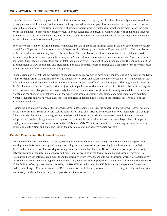Over the past two decades, employment in the informal sector has risen rapidly in all regions. It was only the once-rapidlygrowing economies of East and Southeast Asia that experienced substantial growth of modern sector employment. However, even in these countries, a significant percentage of women workers were in rural and informal employment before the recent crisis: for example, 43 percent of women workers in South Korea and 79 percent of women workers in Indonesia. Moreover, in the wake of the Asian financial crisis, most of these countries have experienced a decline in formal wage employment and a concomitant rise in informal employment.

Even before the Asian crisis, official statistics indicated that the share of the informal sector in the non-agricultural workforce ranged from 50 percent in Latin America to 40-60 percent in different parts of Asia to 75 percent in Africa. The contribution of the informal sector — not only its size - is quite large. The contribution of informal sector income to total household income is significant in many regions: for example, in Africa, informal sector income accounts for nearly 25 percent of rural non-agricultural income, nearly 30 percent of total income, and over 40 percent of total urban income. The contribution of the informal sector to GDP is probably also significant. For those countries where estimates exist, the share of the informal sector in non-agricultural GDP is between 45 to 50 percent.

Existing data also suggest that the majority of economically active women in developing countries, except perhaps in the Latin America region, are in the informal sector. The founders of WIEGO and others who have worked closely with women in the informal sector would argue that the informal sector is even larger than official statistics suggest. Their argument is based on the fact that much of women's paid work - not just their unpaid housework - is not counted in official statistics. If the magnitude of women's invisible paid work, particularly home-based remunerative work, were to be fully counted, both the share of women and the share of informal workers in the work force would increase. Recognizing and, more importantly, counting women's invisible paid work would challenge our empirical understanding not only of the informal sector but also of the economy as a whole.

Despite the size and persistence of the informal sector in developing countries, the concept of the "informal sector" has gone in and out of fashion. Some observers feel the sector is too large and varied to be measured or to be meaningful as a concept. Others consider the sector to be marginal, non-modern, and doomed to perish with successful growth. Recently, several independent schools of thought have converged on the fact that the informal sector accounts for a larger share of output and employment than anyone ever dreamed of in the 1950s and 1960s. WIEGO is committed to increasing public understanding of the size, contribution, and characteristics of the informal sector, particularly women workers.

#### **Gender, Poverty, and the Informal Sector -**

What are the links between being a woman, working in the informal sector, and being poor? There is an overlap between working in the informal economy and being poor: a higher percentage of people working in the informal sector, relative to the formal sector, are poor. This overlap is even greater for women than for men. However, there is no simple relationship between working in the informal economy and being poor or working in the formal economy and escaping poverty. The relationship between informal employment and the intensity of poverty appears only when informal workers are analyzed by sub-sectors of the economy and type of employment (i.e., employer, self-employed, worker). Refer to Box One for a summary of the findings of two papers commissioned by the World Bank and written by S.V. Sethuraman (Independent Consultant, ex-ILO) and Jacques Charmes (Institute of Development Research, France) who reviewed the existing literature and statistics, respectively, on the links between gender, poverty, and the informal sector.<sup>1</sup>

1 Some of this analysis also draws on the 1995 book by J.J. Thomas Surviving in the City: the Urban Informal Sector in Latin America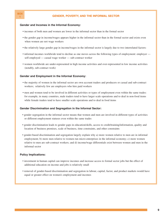#### **GENDER, POVERTY, AND THE INFORMAL SECTOR**

#### **Gender and Incomes in the Informal Economy:**

- incomes of both men and women are lower in the informal sector than in the formal sector
- the gender gap in income/wages appears higher in the informal sector than in the formal sector and exists even when women are not wage workers
- the relatively large gender gap in income/wages in the informal sector is largely due to two interrelated factors:
- informal incomes worldwide tend to decline as one moves across the following types of employment: employer self-employed — casual wage worker — sub-contract worker
- women worldwide are under-represented in high income activities and over-represented in low income activities (notably, sub-contract work)

#### **Gender and Employment in the Informal Economy:**

- the majority of women in the informal sector are own account traders and producers or casual and sub-contract workers; relatively few are employers who hire paid workers
- men and women tend to be involved in different activities or types of employment even within the same trades: for example, in many countries, male traders tend to have larger scale operations and to deal in non-food items while female traders tend to have smaller scale operations and to deal in food items

#### **Gender Discrimination and Segregation in the Informal Sector:**

- gender segregation in the informal sector means that women and men are involved in different types of activities or different employment statuses even within the same trades
- gender discrimination leads to gender gaps in education/skills, access to credit/training/information, quality and location of business premises, scale of business, time constraints, and other constraints
- gender-based discrimination and segregation largely explain why a) more women relative to men are in informal employment; b) more men relative to women run micro-enterprises in the informal economy; c) more women relative to men are sub-contract workers; and d) income/wage differentials exist between women and men in the informal sector

#### **Policy Implications:**

- investment in human capital can improve incomes and increase access to formal sector jobs but the effect of additional education on income and jobs is relatively small
- removal of gender-based discrimination and segregation in labour, capital, factor, and product markets would have equal or greater effect on women's employment and incomes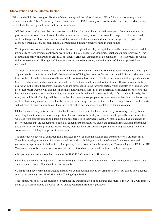#### **Globalization and the Informal Sector**

What are the links between globalization of the economy and the informal sector? What follows is a summary of the presentation at the Public Seminar by Diane Elson from UNIFEM (currently on leave from the University of Manchester) on the links between globalization and the informal sector.

"Globalization is often described as a process in which markets are liberalized and integrated. Both trends sound very positive — who would be in favour of authoritarianism and disintegration? But from the perspective of home-based workers, the process has been very one-sided: that is, market liberalization and integration has privileged powerful economic organizations, like transnational corporations, but not women working in their homes.

What greater contrast could there be than that between the global mobility of capital, especially financial capital, and the immobility of poor women, confined to work in their houses, because of economic, social and cultural pressures? That contrast in mobility illustrates an essential, but often overlooked, dimension of globalization — it is a process in which rights are restructured. The rights of the most powerful are strengthened, while the rights of the least powerful are weakened.

The right of companies to move huge sums of money across national borders everyday has been strengthened. The right of poor people to migrate in search of a better standard of living has been yet further constricted. Labour markets certainly have not been liberalized internationally — such liberalization has been selectively in favour of capital and goods markets. Moreover liberalized markets are insecure markets. The international financial system has no effective mechanism for dealing with the risks it generates. Instead, risks are downloaded to the informal sector, which operates as a kind of safety net of last resort. People who lose jobs in formal employment, as a result of the aftermath of financial crises, crowd into informal employment. As a result, earnings and wages in informal employment are likely to fall — and ultimately, the safety net will break. Earnings will be so low that they do not allow people to survive no matter how long the hours they work, or how many members of the family try to earn something. If countries try to achieve competitiveness on the shortsighted basis of even cheaper labour, then the result will be degradation and depletion of human resources.

Globalization not only puts pressure on the livelihoods of those with the least resources by weakening their rights and subjecting them to more and more competition. It also weakens the ability of governments to partially compensate those who lose from competition using public expenditure targeted to their needs. Globally, mobile capital has a tendency to prefer countries that are reducing their levels of expenditure and taxation. Trade and financial liberalization undermines traditional ways of raising revenue. Professionally qualified well-off people can permanently migrate abroad and often constitute a vocal lobby in support of lower taxes.

The challenge we face is to construct global markets as well as national taxation and expenditure on a different basis. There is a growing movement of women around the world mobilizing on the issue of women's empowerment and government expenditure, including in the Philippines, Brazil, South Africa, Mozambique, Tanzania, Uganda, USA and UK. We also see a variety of mobilizations to create different kinds of global markets, based on three principles:

• Supporting international standards, such as the 1996 ILO Convention on Homework

• Building the countervailing power of collective organization of poorer participants — both employees and small-scale own account workers - HomeNet is a good example

• Constructing developmental marketing institutions committed not only to covering their costs, but also to social justice such as the growing network of Alternative Trading Organizations.

These initiatives hold out the promise of beginning the transformation of both states and markets in ways that will improve the lives of women around the world, based on a globalization from the grassroots."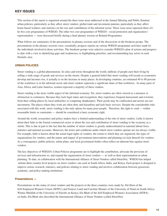This section of the report is organized around the three issue areas addressed in the Annual Meeting and Public Seminar: urban policies, particularly as they affect street vendors; global trade and investment patterns, particularly as they affect home-based workers; and statistics on the size and contribution of the informal sector. These issue areas represent three of t he five core programmes of WIEGO. The other two core programmes of WIEGO - social protection and organization / representation — were discussed briefly during a final plenary session on Related Programmes.

What follows are summaries of the presentations in plenary sessions and of the discussions in the breakout groups. The presentations in the plenary sessions were, essentially, progress reports on various WIEGO programme activities made by the individuals involved in those activities. The breakout groups were asked to consider WIEGO's plan of actions and progress to date with a view to identifying gaps and weaknesses, to highlighting priorities, and recommending key actors in each thematic area.

#### **URBAN POLICIES**

Street vending is a global phenomenon. In cities and towns throughout the world, millions of people earn their living by selling a wide range of goods and services on the streets. Despite a general belief that street vending will recede as economies develop and incomes rise, it actually is on the increase in many places. In developing countries, an estimated 40 to 80 percent of the workforce is in the informal sector and street vendors represent a significant share of that workforce. In many parts of Asia, Africa, and Latin America, women represent a majority of these vendors.

Street vending is the most visible aspect of the informal economy. Yet, street vendors are often viewed as a nuisance or obstruction to commerce. Because they lack legal status and recognition, they experience frequent harassment and evictions from their selling places by local authorities or competing shopkeepers. Their goods may be confiscated and arrests are not uncommon. The places where they work are often dirty and hazardous and lack basic services. Despite the considerable risks associated with this work, street vending is the only option for many poor people. Therefore, the right to vend — within reasonable limits or constraints — should be considered a basic economic right.

Around the world, researchers and policy makers have a limited understanding of the role of street vendors. Little is known about their links to the formal commercial sector or about the size and contribution of street vending to the economy as a whole. This is due in part to the fact that the number of street vendors is greatly underestimated in national labour force statistics and national accounts. Moreover, the terms and conditions under which street vendors operate are not always visible. For example, little is known about the actual legal rights of vendors, the extent to which they are organized, the types of organizations for vendors, and the nature and impact of government interventions and planning (or lack thereof) for vendors. As a consequence, public policies, urban plans, and local government bodies often reflect an inherent bias against street vendors.

The key objectives of WIEGO's Urban Policies programme are to highlight the contribution, advocate the provision of services and infrastructure to, and expand the organization of street vendors — as well as their representation in urban planning. To date, in collaboration with the International Alliance of Street Vendors called StreetNet, WIEGO has helped initiate three country-level projects on street vendors: one each in South Africa, India, and Kenya. Each project is designed to improve action, research, statistics, and policies relating to street vending and involves collaboration between grassroots, academic, and policy-making institutions.

#### **Presentations —**

Presentations on the status of street vendors and the projects in the three countries were made by: Pat Horn of the Self-Employed Women's Union (SEWU) and Frances Lund and Caroline Skinner of the University of Natal on South Africa; Winnie Mitullah of the University of Nairobi on Kenya; Ela Bhatt of the Self-Employed Women's Association (SEWA) on India. Ela Bhatt also described the International Alliance of Street Vendors (called StreetNet).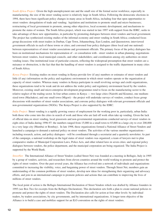*South Africa Project:* Given the high unemployment rate and the small size of the formal sector workforce, especially in manufacturing, the size of the street vending sector is relatively large in South Africa. Following the democratic elections in 1994, there have been significant policy changes in many areas in South Africa, including four that open opportunities to street vendors: deregulation of trade and vending; legislation and institutions to promote small and micro businesses; restructuring of local government to promote, among other objectives, local economic development; and mechanisms to promote the status of women. The South Africa project, which was started in late 1997 with support from the IDRC, seeks to take advantage of these new opportunities, in particular by promoting dialogues between street vendors and local government. The project has synthesized existing studies of the informal economy and street vending in South Africa; conducted focus group discussions with street traders in Durban, Cape Town, Johannesburg, East London, and Queenstown; interviewed government officials in each of these towns or cities; and convened four policy dialogues (three local and one national) between representatives of street vendor associations and government officials. The primary focus of the policy dialogues has been on institutional mechanisms for representation of - or consultation with - street vendors in urban planning; negotiations between street vendors, local municipal councils, and other stakeholders; and coordination among city authorities on street vending issues. One institutional issue of particular concern, reflecting the widespread presumption that street vendors are a nuisance or obstruction, is the fact that that the handling of street vendors is assigned to the traffic department in many cities of South Africa.

*Kenya Project:* Existing studies on street vending in Kenya provide few (if any) numbers or estimates of street vendors and little (if any) information on the policy and regulatory environment in which street vendors operate or the organization al capacity of street vendors. Whereas many vendors in Kenya participate in small revolving savings and credit organizations, these organizations tend to be weak and do not address the wider policy and regulatory environment faced by the vendors. Moreover, existing small and micro-enterprise development programmes tend to focus on the manufacturing sector to the relative neglect of the trading sector. In four urban centres in Kenya — two large cities (Nairobi and Kisumu), one mediumsized town (Machakos), and one small town (Migori) - the project will undertake surveys of vendors, conduct focus group discussions with members of street vendor associations, and convene policy dialogues with relevant government officials and non-governmental organizations (NGOs). The Kenya Project is also supported by the IDRC.

*India Project:* Street vending is a rapidly growing source of employment for the working poor in, particularly, urban India: both those who come into the cities in search of work and those who are laid off work often take up vending. Given the lack of official data on street vending, local grassroots and non-governmental organizations conducted surveys of street vendors in eight cities of India during 1996-97: the numbers ranged from 15,000 in a small town to 65,000 in a large city to over 200,000 in a very large city (Mumbai or Bombay). In late 1998, these organizations formed a National Alliance of Street Vendors and launched a campaign to demand a national policy on street vendors. The activities of the various member organizations including research, action, and policy dialogues - will be coordinated through a secretariat and a quarterly newsletter. As part of the campaign, a national workshop on the legal status of street vendors was organized; a team of lawyers met to plan comparative studies of Municipal Corporation Laws, Police Acts, and other related laws in seven cities; and regional policy dialogues between vendors, the police department, and the municipal corporation are being organized. The India Project is supported by the World Bank.

*StreetNet:* The International Alliance of Street Vendors (called Street Net) was founded at a meeting in Bellagio, Italy in 1995 by a group of vendors, activists, and researchers from eleven countries around the world working to promote and protect the rights of street vendors. Over the past several years, the Alliance has evolved into a network of individuals and organizations committed to increasing the visibility, voice, and bargaining power of street vendors. Through Street Net, members gain an understanding of the common problems of street vendors, develop new ideas for strengthening their organizing and advocacy efforts, and join in an international campaign to promote policies and actions that can contribute to improving the lives of millions of street vendors.

The focal point of action is the Bellagio International Declaration of Street Vendors which was drafted by Alliance founders in 1995 (see Box Two for excerpts from the Bellagio Declaration). This declaration sets forth a plan to create national policies to promote and protect the rights of street vendors. The Declaration also calls for action at four other levels: by individual traders, by traders associations, by city governments, and by international organizations. A longer term objective of the Alliance is to build a case and mobilize support for an ILO convention on the rights of street vendors.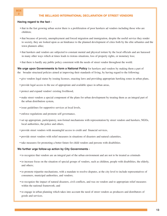#### **THE BELLAGIO INTERNATIONAL DECLARATION OF STREET VENDORS**

#### **Having regard to the fact -**

- that in the fast growing urban sector there is a proliferation of poor hawkers ad vendors including those who are children;
- that because of poverty, unemployment and forced migration and immigration, despite the useful service they render to society, they are looked upon as an hindrance to the planned development of cities both by the elite urbanites and the town planners alike;
- that hawkers and vendors are subjected to constant mental and physical torture by the local officials and are harassed in many other ways which at times leads to riotous situations, loss of property rights, or monetary loss;
- that there is hardly any public policy consistent with the needs of street vendor throughout the world.

**We urge upon Governments to form a National Policy** for hawkers and vendors by making them a part of the broader structural policies aimed at improving their standards of living, by having regard to the following:

- give vendors legal status by issuing licenses, enacting laws and providing appropriate hawking zones in urban plans,
- provide legal access to the use of appropriate and available space in urban areas,
- protect and expand vendors' existing livelihood,
- make street vendors a special component of the plans for urban development by treating them as an integral part of the urban distribution system,
- issue guidelines for supportive services at local levels,
- enforce regulations and promote self governance,
- set up appropriate, participatory, non-formal mechanisms with representation by street vendors and hawkers, NGOs, local authorities, the police and others,
- provide street vendors with meaningful access to credit and financial services,
- provide street vendors with relief measures in situations of disasters and natural calamities,
- take measures for promoting a better future for child vendors and persons with disabilities.

#### **We further urge follow-up action by City Governments -**

- to recognize that vendors are an integral part of the urban environment and are not to be treated as criminals
- to increase focus on the situation of special groups of vendors, such as children, people with disabilities, the elderly, and others;
- to promote tripartite mechanisms, with a mandate to resolve disputes, at the city level to include representatives of consumers, municipal authorities, and vendors;
- to recognize the impact of natural disasters, civil conflicts, and was on vendors and to appropriate relief measures within the national framework; and
- to engage in urban planning which takes into account the need of street vendors as producers and distributors of goods and services.

#### **BOX 2**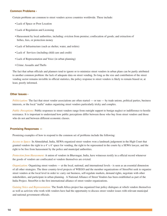#### **Common Problems -**

Certain problems are common to street vendors across countries worldwide. These include:

- Lack of Space or Poor Location
- Lack of Regulation and Licensing
- Harassment by local authorities, including: eviction from premise; confiscation of goods; and extraction of bribes, fees, or protection money
- Lack of Infrastructure (such as shelter, water, and toilets)
- Lack of Services (including child care and credit)
- Lack of Representation and Voice (in urban planning)
- Crime: Assaults and Thefts

The fact that urban officials and planners tend to ignore or to minimize street vendors in urban plans can be partly attributed to another common problem: the lack of adequate data on street vending. So long as the size and contribution of the street vending sector remains invisible in official statistics, the policy response to street vendors is likely to remain biased or, at least, poorly informed.

#### **Other Issues -**

*Politicization:* The fact that street vendor associations are often started — or run — by trade unions, political parties, business interests, or the local "mafia" makes organizing street vendors particularly tricky and complex.

*Public Perceptions:* Public responses to street vendors range from outright support to benign neglect or indifference to hostile resistance. It is important to understand how public perceptions differ between those who buy from street vendors and those who do not and between different economic classes.

#### **Promising Responses —**

Promising examples of how to respond to the common set of problems include the following:

*Access to Space:* In Ahmedabad, India, SEWA-organized street vendors won a landmark judgement in the High Court that granted vendors the right to a 4' x 6' space for vending, the right to be represented in the courts by a SEWA lawyer, and the right to be free from harassment by the police and municipal authorities.

*Protection from Harassment:* A union of vendors in Bhavnagar, India, have witnesses testify in a official record whenever the goods of vendors are confiscated or vendors themselves are evicted.

*Organization:* Organizing street vendors — at the local, national, and international levels - is seen as an essential dimension of all other strategies. The three country-level projects of WIEGO and the member organizations of StreetNet seek to organize street vendors at the local level in order to: carry out business, self-regulate markets, demand rights, negotiate with other stakeholders, and participate in urban planning. A National Alliance of Street Vendors has been established as part of the India Project. StreetNet is the first international alliance of street vendor organizations.

*Gaining Voice and Representation:* The South Africa project has organized four policy dialogues at which vendors themselves as well as activists who work with vendors have had the opportunity to discuss street vendor issues with relevant municipal and national government officials.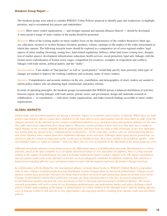#### **Breakout Group Report —**

The breakout groups were asked to consider WIEGO's Urban Policies proposal to identify gaps and weaknesses, to highlight priorities, and to recommend key players and stakeholders:

*Action:* More street vendor organizations — and stronger regional and national alliances thereof — should be developed. A more positive image of street vendors in the media should be promoted.

*Research:* Most of the existing studies on street vendors focus on the characteristics of the vendors themselves (their age, sex, education, etcetera) or on their business (location, products, volume, earnings) to the neglect of the wider environment in which they operate. The following research issues should be explored in a comparative set of cross-regional studies: legal aspects of street vending (licensing, zoning laws, land-related regulations, bribery); urban land issues (zoning laws, designation of market spaces); development infrastructure (education, health services, social protection, legal aid); linkages with the formal sector (subsidization of formal sector wages; competition for resources; examples of cooperation and conflict); linkages with trade unions, political parties, and the "mafia".

*Documentation:* Case studies of "bad practice" as well as "good practice" would help specify more precisely what types of changes are needed to improve the working conditions and economic status of street vendors.

*Statistics:* Comprehensive and accurate statistics on the size, contribution, and demographics of street vendors are needed to inform policy-makers who are planning legal, institutional, and policy reforms.

In terms of operating principles, the breakout groups recommended that WIEGO pursue a balanced distribution of activities between region; develop linkages with trade unions, private sector, and government; design and undertake research in collaboration — or consultation — with street vendor organizations; and make research findings accessible to street vendor organizations.

#### **GLOBAL MARKETS**

*Global trade and investment patterns are having a dramatic impact on economies and societies worldwide. While there are both positive and negative effects, women have tended to be the least able to seize opportunities and the most likely to suffer from the changes involved. In the informal sector, women's traditional industries (e.g., food processing and garment making) are the ones that suffer most from competition from cheap imports. Moreover, women producers have been less able than men to adapt to rapid changes in the economy brought about by globalization, and have been less able to take advantage of any new opportunities arising from the spread of new communications technologies. At the same time, workers who are retrenched from the formal sector displace other women from their traditional informal sector activities. Although rapid export-driven growth has created more jobs for women in some parts of the world such as Southeast Asia, these have tended to be of dubious quality - without minimum wages or rights to organize - and even these jobs are now in jeopardy in the aftermath of the Asian financial crisis.*

*Although increasing attention is now being given to the differential impact of globalization and trade liberalization on women and men, much of the data available is as yet highly theoretical nature or very anecdotal. In addition, there is a bias towards looking at the impact of globalization on women in formal employment and/or women's unpaid work. The impact of globalization on women's paid work in the informal sector has not been adequately examined. In addition, relatively little attention is being given to finding effective ways of helping women to cope with the negative and seize the positive changes involved.*

*In collaboration with the HomeNet, the international alliance of home-based workers, WIEGO's Global Markets programme aims to trace changes in global production and distribution systems brought about by increased globalization. Changes in production systems have particular relevance for home-based workers involved in sub-contracting chains for formal sector firms. Changes in distribution systems have particular relevance for home-based producers who face increased competition in local/traditional markets and lack the ways and means to link to emerging and increasingly globalized markets. The actionresearch programme will seek to assist by (a) developing methodologies and undertaking studies and policy dialogues which lead to a better understanding of the impact of globalization on women workers in the informal sector; and (b) finding effective ways of helping women to link directly to new opportunities and emerging markets resulting from changes trade and investment policies.*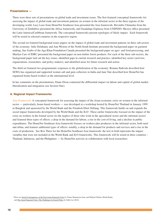#### **Presentations —**

There were three sets of presentations on global trade and investment issues. The first featured conceptual frameworks for assessing the impact of global trade and investment patterns on women in the informal sector in the three regions of the developing world. Lucy Lazo from HomeNet Southeast Asia presented the Asia framework, Ruvimbo Chimedza from the University of Zimbabwe presented the Africa framework, and Guadalupe Espinosa from UNIFEM's Mexico office presented the Latin America/Caribbean framework. The conceptual frameworks present typologies of likely impact. Each framework will be tested in selected countries in the respective region.

The second set featured background issues papers on the impact of global trade and investment patterns on three sub-sectors of the economy: Julie Delahanty and Ann Weston of the North-South Institute presented the background paper on garment making, Sue Szabo of the Aga Khan Foundation Canada presented the background paper on agro- and food-processing, and Marilyn Carr of IDRC presented the background paper on non-timber forest products. For each of the three sub-sectors, the background paper laid out the key issues, identified gaps in current research and practice, identified key actors (activists, organizations, researchers, and policy makers), and identified areas for future research and action.

The third set featured two programmatic responses to the globalization of the economy: Renana Jhabvala described how SEWA has organized and supported women salt and gum collectors in India and Jane Tate described how HomeNet has organized home-based workers at the international level.

In her comments on the presentations, Diane Elson contrasted the differential impact on labour and capital of global market liberalization and integration (see Section One).

#### **A. Regional Impact Frameworks**

*Asia Framework:* A conceptual framework for assessing the impact of the Asian economic crisis on women in the informal sector — particularly, home-based workers — was developed at a workshop hosted by HomeNet Thailand in January 1999 in Bangkok and sponsored by the World Bank and the Friedrich Ebert Stiftung. This framework builds on and expands the social impact frameworks developed by the World Bank and the ILO<sup>2</sup>. These earlier frameworks focused on the impact of the crisis on workers in the formal sector (to the neglect of those who work in the agricultural sector and the informal sector) and featured three types of effects: a drop in the demand for labour, a rise in the cost-of-living, and a decline in public expenditures. The HomeNet Southeast Asia framework focuses on workers plus producers in the informal sector, both rural and urban, and features additional types of effects: notably, a drop in the demand for products and services and a rise in the costs of production. See Box Three for the HomeNet Southeast Asia framework: the text in bold represents the impact variables that were not included in the World Bank and ILO frameworks. This framework will be tested in three countries - Thailand, Indonesia, and the Philippines — by HomeNet activists in collaboration with local researchers.

<sup>2</sup> These are Social Consequences of the East Asian Financial Crisis by Tamar Manuelyan Atinc and Michael Walton (World Bank) and The Asian Financial Crisis: The Challenge for Social Policy by Eddy Lee (ILO).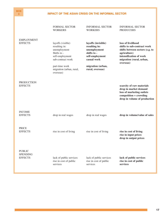### **IMPACT OF THE ASIAN CRISIS ON THE INFORMAL SECTOR**

|                                                    | <b>FORMAL SECTOR</b><br><b>WORKERS</b>                                                                                                                               | <b>INFORMAL SECTOR</b><br><b>WORKERS</b>                                                                                                       | <b>INFORMAL SECTOR</b><br><b>PRODUCERS</b>                                                                                                                               |
|----------------------------------------------------|----------------------------------------------------------------------------------------------------------------------------------------------------------------------|------------------------------------------------------------------------------------------------------------------------------------------------|--------------------------------------------------------------------------------------------------------------------------------------------------------------------------|
| <b>EMPLOYMENT</b><br><b>EFFECTS</b>                | layoffs (visible)<br>resulting in:<br>unemployment<br>Shifts to -<br>self-employment<br>sub-contract work<br>part-time work<br>migration (urban, rural,<br>overseas) | layoffs (invisible)<br>resulting in:<br>unemployment<br>shifts to -<br>self-employment<br>casual work<br>migration (urban,<br>rural, overseas) | loss of livelihood<br>shifts to sub-contract work<br>shifts between sectors (e.g. to<br>agriculture)<br>intensification of work<br>migration (rural, urban,<br>overseas) |
| <b>PRODUCTION</b><br><b>EFFECTS</b>                |                                                                                                                                                                      |                                                                                                                                                | scarcity of raw materials<br>drop in market demand<br>loss of marketing outlets<br>competition + crowding<br>drop in volume of production                                |
| <b>INCOME</b><br><b>EFFECTS</b>                    | drop in real wages                                                                                                                                                   | drop in real wages                                                                                                                             | drop in volume/value of sales                                                                                                                                            |
| <b>PRICE</b><br><b>EFFECTS</b>                     | rise in cost of living                                                                                                                                               | rise in cost of living                                                                                                                         | rise in cost of living<br>rise in input prices<br>drop in output prices                                                                                                  |
| <b>PUBLIC</b><br><b>SPENDING</b><br><b>EFFECTS</b> | lack of public services<br>rise in cost of public<br>services                                                                                                        | lack of public services<br>rise in cost of public<br>services                                                                                  | lack of public services<br>rise in cost of public<br>services                                                                                                            |

**BOX 3**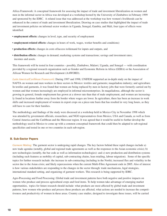Africa Framework: A conceptual framework for assessing the impact of trade and investment liberalization on women and men in the informal sector in Africa was developed at a workshop hosted by the University of Zimbabwe in February 1999 and sponsored by the IDRC. A related issue that was addressed at the workshop was how women's livelihoods can be enhanced in the context of trade and investment liberalization. Drawing on case studies that highlighted the impact of trade and investment policies on informal sector workers in Uganda, Senegal, Gambia, and Mali, four types of effects were identified:

- **employment effects:** changes in level, type, and security of employment
- **employment-related effects:** changes in hours of work, wages, worker benefits and conditions)
- **production effects:** changes in costs of/access to/demand for inputs and outputs, and
- **distribution effects:** changes in demand; marketing systems and transactions; savings and investment rates; incomes and assets.

This framework will be tested in four countries - possibly, Zimbabwe, Malawi, Uganda, and Senegal — with coordination provided by a regional research organization such as Gender and Economic Reform in Africa (GERA) or the Association of African Women for Research and Development (AAWORD).

*Latin America/Caribbean Framework:* During 1997 and 1998, UNIFEM supported an in-depth study on the impact of NAFTA on women and men workers in three sectors in Mexico: textiles and garments; maquiladora industry; and agriculture. In textiles and garments, it was found that women are being replaced by men in factory jobs that were formerly carried out by women and that women increasingly are employed in informal microenterprises. In maquiladoras, although the sector is growing in general, female employment has grown at a slower rate than that of male employment, and women are increasingly found in locations further away from the border where wages are lower. In agriculture, there has been an increase in work shifts and increased employment of women in export crops on a piece-rate basis that has resulted in very long hours, as they still have to care for their families.

The methodology and findings of the study were discussed at a workshop held in Mexico City in November 1998 which was attended by government officials, researchers, and NGO representatives from Mexico, USA and Canada, as well as from Central America and the Caribbean and the Mercosur region. It was agreed that it would be useful to further develop the methodology used in Mexico to come up with a common conceptual framework that could then be adapted to sub-regional specificities and tested in one or two countries in each sub-region.

#### **B. Sub-Sector Papers**

*Garment Making:* The garment sector is undergoing rapid changes. The key factors behind these rapid changes include a) new trade agendas (notably, global and regional trade agreements as well as the responses to the Asian economic crisis); b) new technologies (notably, the bar code as well as information technologies): and c) new production and distribution systems (including such features as mobility of capital, sub-contracting chains, lean retailing, labour migration). Some of the specific topics for further research include: the increase in sub-contracting (including in the North); increased flux and volatility in the sector due to the Asian crisis; and likely repercussions when the current Multi-Fibre Agreement ends in 2005. Also of interest is how various stakeholders are responding to the changes in the sector through: trade mechanisms, legal strategies, international standard setting, and organizing of garment workers. This research is being supported by IDRC.

Agro-Processing and Food Processing: Global trade and investment patterns have both negative and positive impacts on women who produce and process agricultural crops and food items. To help women take advantage of emerging market opportunities, topics for future research should include: what products are most affected by global trade and investment patterns, how women who produce and process these products are affected, what actions are needed to increase the competitiveness and productivity of women in these areas. Country case studies, designed to investigate these issues, will be carried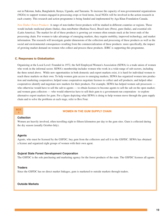out in Pakistan, India, Bangladesh, Kenya, Uganda, and Tanzania. To increase the capacity of non-governmental organizations (NGOs) to support women engaged in processing crops or food items, local NGOs will be involved in the action research in each country. This research and action programme is being funded and implemented by Aga Khan Foundation Canada.

*Non-Timber Forest Products:* A range of non-timber forest products will be studied in different countries or regions. These would include medicinal plants (India), shea nuts/butter (Burkina Faso), Brazil nuts (Peru), gum (India), and essential oils (Latin America). The market for all of these products is growing yet women often remain stuck at the lower ends of the processing chain. For women to take advantage of emerging markets, they require mobility, improved technology, and market information. The research will investigate gender dimensions of the collection and processing of these products as well as the social and environmental consequences resulting from the commercialization of these products: more specifically, the impact of growing market demand on women who collect and process these products. IDRC is supporting this programme.

#### **C. Responses to Globalization**

Organizing at the Local Level: Founded in 1972, the Self-Employed Women's Association (SEWA) is a trade union of women who work in the informal sector. SEWA's membership includes women who work in a wide-range of sub-sectors, including the three noted above. While new opportunities in both domestic and export markets exist, it is hard for individual women to reach these markets on their own. To help women gain access to emerging markets, SEWA has organized women into production and marketing cooperatives; helped some cooperatives negotiate licenses to collect and sell products; and helped other cooperatives identify and negotiate new markets for their products. For example, SEWA has helped women salt processors who otherwise would have to sell the salt to agents — to obtain licenses to become agents to sell the salt on the open market; and women gum collectors — who would otherwise have to sell their gum to a government-run corporation - to explore alternative export markets for gum. For a figure depicting what SEWA is doing to help women move through the gum supply chain and to solve the problems at each stage, refer to Box Four.

#### **BOX 4**

#### **WOMEN IN THE GUM SUPPLY CHAIN**

#### **Collection**

Women are heavily involved, often travelling eight to fifteen kilometres per day to the gum sites. Gum is collected during the dry season (usually October-July).

#### **Agents**

Agents, who must be licensed by the GSFDC, buy gum from the collectors and sell it to the GSFDC. SEWA has obtained a license and organized eight groups of women with their own agent.

#### **Gujarat State Forest Development Corporation**

The GSFDC is the sole purchasing and marketing agency for the forest products of the state. The GSFDC licenses all agents.

#### **Traders**

Since the GSFDC has no direct market linkages, gum is marketed to outside markets through traders.

#### **Outside Markets**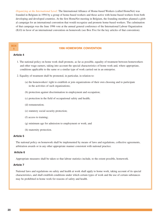*Organizing at the International Level:* The International Alliance of Home-based Workers (called HomeNet) was founded in Belgium in 1994 by a group of home-based workers and those active with home-based workers from both developing and developed countries. At the first HomeNet meeting in Belgium, the founding members planned a global campaign for an international convention that would recognize and promote home-based workers. The culmination of that campaign was the June 1996 vote at the annual general conference of the International Labour Organization (ILO) in favor of an international convention on homework (see Box Five for the key articles of that convention).

#### **BOX 5**

#### **1996 HOMEWORK CONVENTION**

#### **Article 4**

- 1. The national policy on home work shall promote, as far as possible, equality of treatment between homeworkers and other wage earners, taking into account the special characteristics of home work and, where appropriate, conditions applicable to the same or a similar type of work carried out in an enterprise.
- 2. Equality of treatment shall be promoted, in particular, in relation to:
	- (a) the homeworkers' right to establish or join organizations of their own choosing and to participate in the activities of such organizations;
	- (b) protection against discrimination in employment and occupation;
	- (c) protection in the field of occupational safety and health;
	- (d) remuneration;
	- (e) statutory social security protection;
	- (f) access to training;
	- (g) minimum age for admission to employment or work; and
	- (h) maternity protection.

#### **Article 5**

The national policy on homework shall be implemented by means of laws and regulations, collective agreements, arbitration awards or in any other appropriate manner consistent with national practice.

#### **Article 6**

Appropriate measures shall be taken so that labour statistics include, to the extent possible, homework.

#### **Article 7**

National laws and regulations on safety and health at work shall apply to home work, taking account of its special characteristics, and shall establish conditions under which certain types of work and the use of certain substances may be prohibited in home work for reasons of safety and health.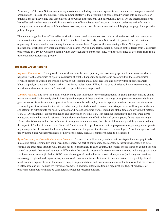As of early 1999, HomeNet had member organizations - including, women's organizations, trade unions, non-governmental organizations - in over 30 countries. A key common strategy is the organizing of home-based workers into cooperatives or unions at the local level and into associations or networks at the national and international levels. At the international level, HomeNet seeks to increase the visibility and solidarity of home-based workers, to exchange experiences and information among organizations working with home-based workers, and to coordinate an international lobbying campaign for supportive policy changes.

The member organizations of HomeNet work with home-based women workers - who work either on their own account or as sub-contract workers - in a number of different sub-sectors. Recently, HomeNet decided to promote the international organizing of home-based workers along trade or sub-sector lines. As part of this new strategy, HomeNet organized an international workshop of women embroiderers in March 1999 in New Delhi, India: 30 women embroiderers from 7 countries participated in a 10-day workshop during which they exchanged experiences and, with the assistance of designers from India, developed new designs and products.

#### **Breakout Group Reports —**

*Regional Frameworks:* The regional frameworks need to be more precisely and concretely specified in terms of a) what is happening to the economies of specific countries; b) what is happening to specific sub-sectors within these economies: c) which groups of women are working in which sub-sectors; and d) how access to and power within specific markets labour, capital, product, and factor markets - are being redistributed. Filling in the gaps of existing impact frameworks, as was done in the case of the Asia framework, is a promising way to proceed.

*Garment Making:* The need for a multi-country study that investigates the emerging trends in global garment-making chains was underscored. Such a study should investigate the impact of these trends on the range of employment statuses within the garment sector: from formal employment in factories to informal employment in export promotion zones or sweatshops to self-employment to sub-contract work. In each country, the study should focus on context-specific as well as generic themes and attempt to differentiate the specific impacts of different economic trends, including: global trade and investment patterns (e.g., WTO regulations), global production and distribution systems (e.g., lean retailing technology), regional trade agreements, and national economic reforms. In addition to the issues identified in the background paper, future research might address the following topics: the problems of immigrant women workers, the role of children and youth in garment making, the impact of "codes of conduct" and "fair trade" initiatives. In regard to future action programmes, organizing and negotiating strategies that do not risk the loss of jobs for women in the garment sector need to be developed. Also, the impact on and use by home-based workers/producers of new technologies, such as e-commerce, need to be explored.

*Agro-Processing and Non-Timber Forest Products:* The need for multi-country studies that investigate the emerging trends in selected global commodity chains was underscored. As part of commodity chain analysis, institutional analysis of who controls the trade (and through what means) needs to undertaken. In each country, the studies should focus on context-specific as well as generic themes and attempt to differentiate the specific impacts of different economic trends, including: global trade and investment patterns (including WTO regulations), global production and distribution systems (including lean retailing technology), regional trade agreements, and national economic reforms. In terms of research partners, the participation of local women's organizations in the research design, implementation, and dissemination is essential to ensure that the research is relevant to and will be used by grassroots women. In addition, alternative trading organizations (e.g. of producers of particular commodities) might be considered as potential research partners.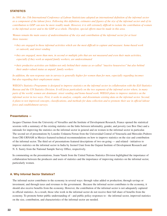#### **STATISTICS**

*In 1993, the 15th International Conference of Labour Statisticians adopted an international definition of the informal sector as a component of the labour force. Following this definition, estimates and figures of the size of the informal sector and of its contribution to GDP can now be more readily made. However, it is still extremely difficult to isolate the contribution of women to the informal sector and to the GDP as a whole. Therefore, special efforts must be made in this area.*

*Women remain the main source of underestimation of the size and contribution of the informal sector for at least three reasons:*

- *they are engaged in those informal activities which are the most difficult to capture and measure: home-based work or outwork, and street vending*
- *they are engaged, more than men, in second or multiple jobs that are not measured and even their main activities, especially if they work as unpaid family workers, are underestimated*
- *their productive activities are hidden not only behind their status as so-called "inactive housewives" but also behind their under-valued status as unpaid family workers*

*In addition, the non-response rate in surveys is generally higher for women than for men, especially regarding incomes but also regarding their employment status.*

*WIEGO's Statistics Programme is designed to improve statistics on the informal sector in collaboration with the ILO Statistics Bureau and the UN Statistics Division. It will focus particularly on the two segments of the informal sector where, in many parts of the world, women are dominant: street vending and home-based work. WIEGO plans to improve statistics on the informal sector in two ways. First, it seeks to analyse, compile, and disseminate existing data on the informal sector. Second, it plans to test improved concepts, classifications, and methods for data collection and to promote their use in official labour force and establishment surveys.*

#### **Presentations —**

Jacques Charmes from the University of Versailles and the Institute of Development Research, France opened the statistical sessions with a summary of the existing statistics on the links between informality, gender, and poverty (see Box One) and a rationale for improving the statistics on the informal sector in general and on women in the informal sector in particular. The second set of presentations by Lourdes Urdaneta Ferran from the Universidad Central of Venezuela and Mercedes Pedrero from CRI-URNAM in Mexico featured technical recommendations on how to improve statistics on the size and contribution of the informal sector. The third set of presentations featured descriptions of two on-going — and related - initiatives to improve statistics on the informal sector in India by Jeemol Unni from the Gujarat Institute of Development Research and N. S. Sastry from the National Sample Survey Office, respectively.

In commenting on the presentations, Joann Vanek from the United Nations Statistics Division highlighted the importance of collaboration between the producers and users of statistics and the importance of improving statistics on the informal sector, particularly women.

#### **A. Why Informal Sector Statistics?**

The informal sector contributes to the economy in several ways: through value added or production; through savings or investment; and through taxes and revenues to the government. Because the informal sector contributes to the economy, it should also receive benefits from the economy. However, the contribution of the informal sector is not adequately captured in official statistics. As a result, those who work in the informal sector do not receive their full share of benefits from the economy. To promote better public understanding of - and public policy responses to - the informal sector, improved statistics on the size, contribution, and characteristics of the informal sector are needed.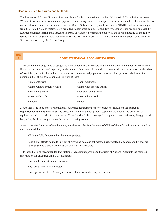#### **Recommended Measures and Methods**

The international Expert Group on Informal Sector Statistics, constituted by the UN Statistical Commission, requested WIEGO to write a series of technical papers recommending improved concepts, measures, and methods for data collection on the informal sector. With funding from the United Nations Development Programme (UNDP) and technical support from the United Nations Statistics Division, five papers were commissioned: two by Jacques Charmes and one each by Lourdes Urdaneta Ferran and Mercedes Pedrero. The authors presented the papers at the second meeting of the Expert Group on Informal Sector Statistics held in Ankara, Turkey in April 1998. Their core recommendations, detailed in Box Six, were endorsed by the Expert Group.

#### **BOX 6**

#### **CORE STATISTICAL RECOMMENDATIONS**

**1.** Given the increasing share of categories such as home-based workers and street vendors in the labour force of many if not most - countries, and especially in the female labour force, it should be recommended that a question on the **place of work** be systematically included in labour force surveys and population censuses. The question asked to all the persons in the labour force should distinguish at least:

- large enterprise shop, workshop
- home without specific outfits home with specific outfits • permanent market • non-permanent market
- 
- street with stalls street without stalls
- mobile other

**2.** Another issue to be more systematically addressed regarding these two categories should be the **degree of dependency/independenc**y by asking questions on the relationships with suppliers and buyers, the provision of equipment, and the mode of remuneration. Countries should be encouraged to supply relevant estimates, disaggregated by gender, for these categories, on the basis of existing sources.

**3.** As to the **size** (in terms of employment) and the **contribution** (in terms of GDP) of the informal sector, it should be recommended that:

- ILO and UNSD pursue their inventory projects
- additional efforts be made in view of providing data and estimates, disaggregated by gender, and by specific groups (home-based workers, street vendors, in particular)

**4.** It should also be recommended that National Accountants provide to the users of National Accounts the required information for disaggregating GDP estimates:

- by detailed industrial classification
- by formal and informal sector
- by regional locations (mainly urban/rural but also by state, region, or cities)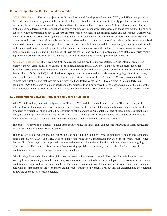#### **C. Improving Informal Sector Statistics in India**

*GIDR-SEWA Project:* The joint project of the Gujarat Institute of Development Research (GIDR) and SEWA, supported by the Ford Foundation, is designed to take a critical look at the official statistics in order to identify problems associated with measuring the size (in terms of employment) and the contribution (in terms of value added) of the informal sector. The key problems being addressed by the project are a) how to capture own-account workers, especially those who work at home or on the streets without premises; b) how to capture different types of workers in the informal sector and sub-contract workers who work for informal or formal units; c) and how to account for the value-added or contribution of these 'invisible' categories of producers and workers. Several methods have been tested — and are recommended - to address these problems: using a mixed household-cum-enterprise survey approach (i.e., conducting a household survey and then canvassing all enterprises identified in the household survey); including questions that capture the location of work, the nature of the employment contract, the mode of remuneration; estimating the number of invisible workers and producers in different activity status categories through appropriate cross-classification; and estimating the output for each category using special output modules.

*National Sample Survey:* The Government of India recognizes the need to improve statistics on the informal sector. For example, the Government has been criticized for underestimating India's GDP by leaving out certain segments of the economy, particularly the informal sector. Rather than mount large-scale special surveys on the informal sector, the National Sample Survey Office (NSSO) has decided to incorporate new questions and methods into its on-going labour force survey which, in the future, will be conducted four times a year. At the request of the NSSO and the Central Statistical Office, some of these new questions and methods are being developed and tested by the GIDR-SEWA project. On a quarterly basis, beginning 1999-2000, a sub-sample of nearly 200,000 households will be surveyed to get a better estimate of the size of the informal sector and a sub-sample of nearly 400,000 enterprises will be surveyed to estimate the output of the informal sector.

#### **D. Collaborations Between Producers and Users of Statistics**

What WIEGO is doing internationally and what GIDR, SEWA, and the National Sample Survey Office are doing at the national level in India represent a very important development in the field of statistics: namely, close linkage between the producers of official statistics and the different users of official statistics. One notable aspect of these unique partnerships is that grassroots organizations are among the users. In the past, many grassroots organizations were unable or unwilling to work with national statisticians and few national statisticians had worked with grassroots activists.

The process of improving statistics is a long-term endeavor and, for that reason, can become frustrating to users, particularly those who are activists rather than researchers.

The process is also expensive and, for that reason, can be off-putting to donors. What is important to note in these collaborations is that SEWA, GIDR, and WIEGO do not plan to undertake special independent surveys of the informal sector - other than small-scale surveys to test improved concepts and measures - but rather to build on and improve existing on-going official surveys. This approach is less costly than mounting special separate surveys and has the added attraction of institutionalizing improved concepts, measures, and methods.

What is being done under these related initiatives represents a broadbased approach. The particular tasks involved are to; a) compile what is already available; b) test improved measures and methods; and c) develop collaborative ties in countries to institutionalize improved measures and methods. These initiatives to improve statistics on the informal sector, and women in particular, are important not only for understanding what is going on in women's lives but also for understanding the operation of how the economy as a whole operates.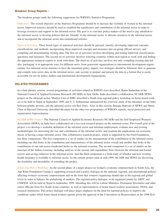#### **Breakout Group Reports -**

The breakout groups made the following suggestions for WIEGO's Statistics Programme:

*Objectives:* The overall objective of the Statistics Programme should be to increase the visibility of women in the informal sector. Improved statistics should be used to establish the significance and contribution of the informal sector in order to leverage resources and support to the informal sector. The goal is to convince policy-makers of the need to pay attention to the informal sector, to develop policies that are 'friendly' to the informal sector, to allocate resources to the informal sector, and to incorporate the informal sector into institutional reforms.

*Types of Activities:* Three broad types of statistical activities should be pursued: namely, developing improved concepts, classifications, and methods; incorporating these improved concepts and measures into on-going official surveys; and compiling and disseminating existing data. The first set of activities involves developing and testing improved classifications, questions, and measures. The second set of activities involves selecting countries within each region to work with and finding the appropriate technical experts to work with them. The third set of activities involves not only compiling existing data but also 'packaging' it in appropriate ways for different users: from grassroots organizations to international development organizations. For informal sector statistics to have the maximum policy impact, two strategies should be followed: first, to generate and compile time-series data on the informal sector; and, second, to prepare and present the data in a format that is easily accessible for use by policy makers and international development organizations.

#### **RELATED PROGRAMMES**

In a final plenary session, several programmes or activities related to WIEGO were described. Ratna Sudarshan of the National Council of Applied Economic Research (NCAER) in New Delhi, India described a collaborative NCAER-SEWA project on the informal sector; Marilyn Carr of IDRC described a South Asia regional policy workshop on home-based workers to be held in Nepal in September 1999; and S. V. Sethuraman summarized his overview study of the literature on the links between gender, poverty, and the informal sector (see Box One). Also, in this session, Renana Jhabvala of SEWA and Marty Chen of Harvard University, described the plans for the other two programmes of WIEGO: namely, social protection and organization /representation.

*NCAER-SEWA Project:* The National Council of Applied Economic Research (NCAER) and the Self-Employed Women's Association (SEWA) in India have collaborated on a two-year research project on the informal sector. The overall goal of the project is to develop a workable definition of the informal sector and informal employment; evaluate new and existing methodologies for measuring the size and contribution of the informal sector; and examine the implications for economic theory of having a large informal sector. This collaborative research project, which is supported by the Ford Foundation, has three components. The first component is a set of studies on the measurement of the contribution of the informal sector, including one that looks at the contribution and characteristics of the informal sector overall and another that looks at the contribution of one sub-sector (medicinal herbs) to the national economy. The second component is a set of studies on the structure of the Indian economy, including analysis of the income and expenditure flows between the informal and formal sectors and savings behavior in the informal sector. And the third component is a field study of whether and how existing health insurance is available to informal sector. As the current project ends in mid-1999, NCAER and SEWA are discussing the feasibility and desirability of extending the project.

*South Asia Policy Workshop:* As the second phase of a larger project on women's economic empowerment in South Asia, the Aga Khan Foundation Canada is supporting research and a policy dialogue on the national, regional, and international policies affecting women's economic empowerment and on the form that women's organizing should take at the regional and global levels in order to balance the globalizing of markets. The regional policy dialogue, to be organized jointly by AKFC and UNIFEM, will be held in Nepal in September 1999. Attending this will be Labour Ministers, Permanent Secretaries and other senior officials from five South Asian countries, as well as representatives of home-based workers associations, NGOs, and research institutions. This policy dialogue will place major emphasis on the need for national policies to improve the conditions under which home-based workers operate given the approval of the Convention on Homeworkers at the 1996 ILO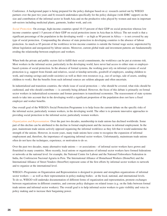Conference. A background paper is being prepared for the policy dialogue based on a) research carried out by WIEGO partners over the past two years and b) research undertaken specifically for the policy dialogue (with IDRC support) on the size and contribution of the informal sector in South Asia and on the productive roles played by women and men in important sub-sectors including medicinal plants, garments, leather work, and coir.

*Social Protection:* On average, high-income countries spend 10-15 percent of their GDP on social protection whereas low income countries spend 1-5 percent of their GDP on social protection (more in Asia than in Africa). The net result is that a significant percentage of the population in the developing world — as high as 90 percent in Africa — is not covered by any type of social protection. Compounding the absence of state protection in developing countries is the absence of labour protection. As much as 85 percent of the workforce in low-income countries is outside the formal wage sector, unprotected by labour legislation and unorganized by labour unions. Moreover, current global trade and investment patterns are fundamentally eroding the relationship between employers and workers.

When both the private and public sectors fail to fulfill their social commitments, the workforce can be put at extreme risk. Most workers in the informal sector, particularly in the developing world, have never had access to either state or employerbased systems of social protection. In the absence of formal systems, the working poor rely on informal systems of social protection (e.g. support from friends and relatives, social or kinship networks, goodwill of employers, sending children to work, and rotating savings-and-credit societies) as well as their own resources (e.g., use of savings, sale of assets, sending children to work). But the benefits from such informal sources are seldom adequate and often uncertain.

In industrialized and transition countries, the whole issue of social protection — who should be covered, what risks should be cushioned, and who should contribute — is currently being debated. However, the focus of this debate is primarily on formal sector workers in industrialized economies and former pensioners in transitional economies. The reassessment of state systems needs to take into account that in the developing world a significant proportion of the population does not have a fixed employer and worker benefits.

One overall goal of the WIEGO's Social Protection Programme is to help focus the current debate on the specific risks of the informal sector, particularly women workers, in the developing world. The other is to promote innovative approaches to providing social protection to the informal sector, particularly women workers.

*Organization and Representation:* Over the past two decades, membership in trade unions has declined worldwide. Some part of this decline can be attributed to the decline in formal employment and the increase in informal employment. In the past, mainstream trade unions actively opposed organizing the informal workforce as they felt that it would undermine the strength of the unions. However, in recent years, many trade unions have come to recognize the expansion of informal employment and, therefore, the importance of organizing informal sector workers. Unfortunately, mainstream trade unions often do not have the techniques, experience, or motivation to do so.

Over the past two decades, many alternative trade unions — or associations - of informal sector workers have grown and flourished in many countries. More recently, local unions or organizations of informal sector workers have formed federations or networks at the national level: for example, the National Centre for Labour and the National Fishworkers Federation in India, the Conferacion Nacional Agraria in Peru. The International Alliance of Homebased Workers (HomeNet) and the International Alliance of Street Vendors (StreetNet) represent some of the first efforts by informal sector workers to network and to organize at the international level.

WIEGO's Programme on Organization and Representation is designed to promote and strengthen organizations of informal sector workers — as well as their representation in policy-making bodies - at the local, national, and international levels. To do so, WIEGO will undertake documentation of different forms of organization and representation, promote exchanges between organizations in different countries, and convene policy dialogues on related issues (e.g. on the links between formal trade unions and informal sector workers). The overall goal is to help informal sector workers to gain visibility and voice in policy making and to increase their bargaining power.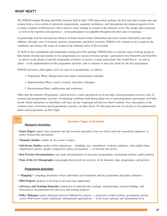The WIEGO Annual Meeting and Public Seminar held in April 1999 represented, perhaps, the first time that so many men and women from a cross-section of grassroots organizations, academic institutions, and international development agencies from so many countries worldwide have met to discuss issues relating to women in the informal sector. The energy and excitement - as well as the expertise and experience - of the participants was palpable throughout the three days of meetings.

In partnership with the international alliances of home-based workers (HomeNet) and street vendors (StreetNet) and other affiliates, through a mix of research, statistics, programme, and policy activities, WIEGO will continue to try to improve the conditions and advance the status of women in the informal sector of the economy.

To build on the commitment and momentum coming out of the meeting, WIEGO plans to convene expert working groups to help further develop and monitor its five programmes; to convene reference groups - particularly from HomeNet and StreetNet - to advise on the design of specific programme activities; to involve as many participants who would like to - as well as others - in the implementation of the programme activities; and to continue to help raise funds for the five programmes.

WIEGO envisions a three-phase cycle for each of its programmes, as follows:

- 1. Preparatory Phase: background issues papers and planning workshop
- 2. Implementation Phase: action, research, and policy dialogues
- 3. Dissemination Phase: publications and conference

Other than the Statistics Programmes, which involves a more specialized set of activities, each programme involves a mix of research and programmatic activities. At planning workshops held during phase one of each programme, participants will help decide which institutions or individuals will carry out the component activities in which countries. For a description of the common types of research and programmatic activities, see Box Seven. For the particular mix of activities to be implemented under each programme, see Box Eight.

#### **BOX 7**

#### **Common Types of Activities**

- **Issues Papers:** papers that summarize the key research and policy issues as well as relevant conceptual, empirical, or policy frameworks and debates
- **Thematic Studies:** studies of key issues or topics
- **Sub-Sector Studies:** studies of key dimensions including, size, contribution, working conditions, value-added chain, employment statuses, gender composition, policy environment — of selected sub-sectors
- **Best Practice Documentation:** case study documentation of innovative programmes, institutional reforms, and/or policies
- **State of the Art Monographs:** monographs that provide an overview of the literature, data, programmes, and policies

#### **Programme Activities:**

**Research Activities:**

- **• "Mapping":** compiling inventories of key individuals and institutions and key programme and policy initiatives
- **Pilot Projects:** projects to develop or test innovative approaches
- **Advocacy and Training Materials:** preparation of materials that 'package' statistical data, research findings, and best-practice documentation for advocacy and training purposes
- **Policy Dialogues:** policy dialogues between different key players grassroots women workers, government, private sector, NGO sector, donor community, international organizations — at the local, national, and international level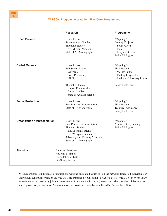#### **BOX 8**

#### **WIEGO's Programme of Action: Five Core Programmes**

|                                     | <b>Research</b>                                                                                                                                                                            | Programme                                                                                                                |
|-------------------------------------|--------------------------------------------------------------------------------------------------------------------------------------------------------------------------------------------|--------------------------------------------------------------------------------------------------------------------------|
| <b>Urban Policies</b>               | <b>Issues Papers</b><br><b>Street Vendors Studies</b><br>Thematic Studies:<br>e.g. Migrant Vendors<br>State of Art Monograph                                                               | "Mapping"<br><b>Country Projects:</b><br>South Africa<br>India<br>Kenya & 4 others<br><b>Policy Dialogues</b>            |
| <b>Global Markets</b>               | <b>Issues Papers</b><br>Sub-Sector Studies:<br>Garments<br>Food Processing<br><b>NTFP</b>                                                                                                  | "Mapping"<br>Pilot Projects:<br><b>Market Links</b><br><b>Trading Corporation</b><br><b>Intellectual Property Rights</b> |
|                                     | Thematic Studies:<br><b>Impact Frameworks</b><br><b>Impact Studies</b><br>State of Art Monograph                                                                                           | <b>Policy Dialogues</b>                                                                                                  |
| <b>Social Protection</b>            | <b>Issues Papers</b><br><b>Best Practice Documentation</b><br>State of Art Monograph                                                                                                       | "Mapping"<br>Pilot Projects<br><b>Technical Assistance</b><br><b>Policy Dialogues</b>                                    |
| <b>Organization /Representation</b> | <b>Issues Papers</b><br><b>Best Practice Documentation</b><br>Thematic Studies:<br>e.g. Economic Rights<br>Workplace Violence<br>Advocacy and Training Materials<br>State of Art Monograph | "Mapping"<br>Alliance Strengthening<br><b>Policy Dialogues</b>                                                           |
| <b>Statistics</b>                   | <b>Improved Measures</b><br><b>National Estimates</b><br>Compilation of Data<br><b>On-Going Surveys</b>                                                                                    |                                                                                                                          |

WIEGO welcomes individuals or institutions working on related issues to join the network. Interested individuals or individuals can get information on WIEGO's programmes by consulting its website (www.WIEGO.org) or can share experience and expertise by joining one or more of its thematic listservs (listservs on urban policies, global markets, social protection, organization /representation, and statistics are to be established by September 1999).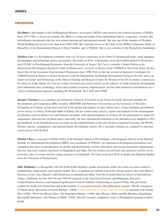#### **PRESENTERS**

**Ela Bhatt** is the founder of the SelfEmployed Women's Association (SEWA) and served as the General Secretary of SEWA from 1972-1996. A lawyer by training, Ms. Bhatt is a respected leader of the international labour, cooperative, women, and microfinance movements who has won several national and international awards. She was one of the founders of Women's World Banking and served as its chair from 1980-1998. She currently serves as the Chair of the SEWA Cooperative Bank, of HomeNet, of the International Alliance of Street Vendors, and of WIEGO. She is also a trustee of the Rockefeller Foundation.

**Marilyn Carr** is a development economist with over 20 years experience in the fields of international trade, small enterprise development, and technology choice and transfer. She holds an M.Sc. in Economics from the London School of Economics and a D.Phil. in Development Economics from the University of Sussex. Dr. Carr is currently a Senior Fellow at the International Development Research Centre in Ottawa and is on leave of absence from UNIFEM in New York where she has been Chief of the Economic Empowerment Programme since 1990. Prior to this she worked as Regional Coordinator for UNIFEM based in Harare, as Senior Economist with the Intermediate Technology Development Group in the UK, and as an Expert in Gender and Technology at the African Training and Research Centre for Women of the UN Economic Commission for Africa in Addis Ababa. Dr. Carr has written 10 books and several articles on the subjects of small enterprise development, rural industrialization, technology choice and women's economic empowerment, and has done numerous consultancies for a variety of international agencies including the World Bank, ILO, FAO and UNDP.

**Jacques Charmes** is an economist and statistician. Director of research at the French Scientific Research Institute for Development and Cooperation (IRD, formerly ORSTOM) and Professor of Economics at the University of Versailles - St Quentin en Yvelines, he has been involved in the design and analysis of many labour force, living standards and informal sector surveys in Africa, North and South of Sahara. He has written many articles, reports and manuals on the measurement of informal sector in labour force and National Accounts, with special emphasis on women. He has participated in many UN programmes and activities on these topics, especially: the new international definition of the informal sector adopted in 1993, the handbook on the household sector accounts for the implementation of the new System of national Accounts, the World's Women statistics compilations, and national human development reports. He is currently working on a manual for informal sector surveys with the ILO.

**Martha Chen** is a Lecturer in Public Policy at the Kennedy School of Government, a Development Advisor at the Harvard Institute for International Development (HIID), and coordinator of WIEGO. An experienced development practitioner and researcher, her areas of specialization are gender and development, poverty alleviation, and non-governmental organizations. She has long-term resident experience in Bangladesh and India. She has written several books and numerous articles on the economic roles of women and the coping strategies of households. Dr. Chen received a Ph.D. in South Asia Regional Studies from the University of Pennsylvania.

**Julie Delahanty** is a Researcher with the North South Institute's gender programme where she works on issues related to globalization, employment, and women's health. She is a graduate of Carleton University, having earned a BA with Highest Honours in Law and a Master's with Distinction in international affairs from the Norman Paterson School of International Affairs. Delahanty was the 1993-94 and 1994-95 recipient of the Joint Social Science and Humanities Research Council/Natural Sciences and Engineering Research Council's Master's Scholarship in Science Policy. She previously worked for South Asia Partnership and at the Institute as a research assistant. Her publications include "The Re-emergence of Tuberculosis: Barometre of Social Welfare," (1998) *Gender and Jobs in China's New Economy*, co-authored with Joanna Kerr (1996), "Wish You Weren't Here: The Population Debate" (1996), and "Breasts, Babes and Big Business: Regulating Breastmilk Substitutes with Women in Mind" (1994). She also recently completed a study of Bangladeshi garment workers' health.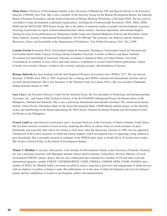**Diane Elson** is Professor of Development Studies at the University of Manchester, UK, and Special Advisor to the Executive Director, UNIFEM, New York. She is also a member of the Advisory Group for the Human Development Report; the Editorial Board of Feminist Economics; and the board of directors of Women Working Worldwide, a UK based NGO. She has acted as consultant to many development cooperation organizations, including the Commonwealth Secretariat, CIDA, SIDA, DFID, DGIS and the OECD DAC WID Expert Group. She is the author of numerous studies of gender and development economics, focussing in particular on export oriented industrialization, labour markets, structural adjustment, and national budgets. Among her most recent publications are 'Integrating Gender Issues into National Budgetary Policies and Procedures: Some Policy Options', Journal of International Development, Vol.10.1998 and 'The economic, the Political, and the Domestic: Businesses, States, and households in the Organization of Production', New Political Economy, Vol.3, No.2,1998.

**Lourdes Ferrán** Economist; Ph.D. Universidad Central de Venezuela: Teaching in Universidad Central de Venezuela and Universidad Andrés Bello, Caracas; Visiting Scholar Columbia University; Lectures in Mexico and Spain. National Accountant in Central Bank of Venezuela; National accountant in Statistical Office of United Nations, New York; Consultancies in countries in Asia, Africa and Latin America. Contributor to several United Nations publications; Author of books on economics, finance, women in the economy, national accounts, and distribution of income.

**Renana Jhabvala** has been working with the Self Employed Women's Association since (SEWA) 1977. She was elected Secretary of SEWA from 1981 to 1994. At present she is looking after SEWA's national and international activities and its research and development. She is also Secretary of the National Centre for Labour (NCL). She was awarded a Padmashri (Indian National Award) in 1989.

**Lucy Lazo** is the Executive Director, Centre for the Informal Sector, the Vice-president of Technology and Entrepreneurship Associates, Inc., and former Chief Technical Adviser of the ILO-DANIDA Subregional Project On Homeworkers in the Philippines, Thailand and Indonesia. She is also a practicing international and national consultant. Her current involvements include: Urban Poverty Alleviation Study for the Asian Development Bank; UNDP-Manila national project on the informal sector; and membership on the Board representing the NGO Sector, National Vocational Training and Development Centre for Women in the Philippines.

**Francie Lund** has specialized in social policy and is Associate Professor at the University of Natal in Durban, South Africa. She has done extensive research in social security, analyzing the effects of various forms of social assistance on poor households, and especially their effects for women in rural areas. After the democratic elections in 1994, she was appointed Chairperson of the Lund Committee on Child and Family Support, which investigated ways of supporting young children in poor households. She is presently research co-ordinator of the WIEGO pilot study, in South Africa, of women street traders. She lectures in Social Policy in the School of Development Studies.

**Winnie V. Mitullah** is currently a Researcher at the Institute for Development Studies at the University of Nairobi. Formerly, she was a principal researcher with Mazingira Institute, Kenya and Coordinator, Urban Basic Services, Ministry of Local Government/UNICEF contract, Kenya. She has also collaborated and consulted for a number of UN and other local and international agencies, notably UNICEF, UNCHS/HABITAT, UNDP, UNDESA, UNIFEM, DFID, USAID, DANIDA and a number of NGOs. Dr. Mitullah holds a doctorate in political science, majoring in provision and management of urban services with an emphasis on politics relating to same. Her publications are in the areas of urban development and survival strategies, gender and the contribution of women to development, politics and administration.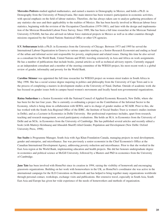**Mercedes Pedrero** studied applied mathematics, and earned a masters in Demography in Mexico, and holds a Ph.D. in Demography from the University of Pennsylvania. Her main interest has been women's participation in economic activities, with special emphasis on the field of labour statistics. Therefore, she has always taken care to analyze gathering procedures of any statistics she uses and their applicability to the realities of Mexico. She has been heavily involved in Mexican labour force statistics, beginning with the revision of the Occupation Classification (1979-1981), and later with the design and implementation of the Mexican Household Labour Force Survey. Since 1989, She has been a full time researcher at the Mexican National University (UNAM), but has also advised on labour force statistical projects in Mexico as well as in other countries through missions organized by the United Nations Statistical Office or other UN agencies.

**S.V. Sethuraman** holds a Ph.D. in Economics from the University of Chicago. Between 1973 and 1995 he served the International Labour Organization in Geneva in various capacities starting as a Senior Research Economist and ending as head of the urban and informal sector unit responsible for poverty, employment and related issues. During this time he also served as a consultant for the World Bank, United Nations and IFAD, traveling extensively in Asia and Africa on work assignments. He has a number of publications that include books, journal articles as well as technical advisory reports. Currently engaged as an independent consultant and a member of the steering committee of the WIEGO project, his most recent work is a global review of gender, informality and poverty for the World Bank.

**Caroline Skinner** was appointed the full time researcher for WIEGO project on women street traders in South Africa in May 1998. She has a social science degree majoring in politics and philosophy from the University of Cape Town and is in the process of completing a masters in development studies at the University of Natal, Durban. Outside of academic work she has focused on gender issues both in campus based women's movements and locally based non-governmental organizations.

**Ratna Sudarshan** is a Senior Economist with the National Council of Applied Economic Research, New Delhi, where she has been for the last four years. She is currently co-ordinating a project on the Contribution of the Informal Sector to the Economy, which is being done in collaboration with SEWA, and is in charge of gender studies at NCAER. Prior to this, she has worked with the South Asia Regional Office of the IDRC, the Institute of Social Studies Trust (a women's studies institute in Delhi), and as a Lecturer in Economics in Delhi University. Her professional experience includes, apart from research, teaching and research management, several participatory evaluations. She holds an M.A. in Economics from the University of Delhi and an M.Sc. in Economics from the University of Cambridge. She has published several articles and recently edited a book (with Maitreyi Krishnaraj and Abusaleh Shariff) titled Gender, Population and Development (New Delhi: Oxford University Press, 1998).

**Sue Szabo** is Programme Manager, South Asia with Aga Khan Foundation Canada, managing projects in rural development, gender and enterprise, and microfinance. Sue was previously a senior economist in the Chief Economist's Office at the Canadian International Development Agency, addressing poverty reduction and microfinance. Prior to that she worked in the East Asia region at the World Bank, implementing education and health projects. She did her honours undergraduate degree in economics and political science at McGill University, followed by a Masters and PhD in economics from the University of Cambridge.

**Jane Tate** has been involved with HomeNet since its creation in 1994, raising the visibility of homework and encouraging grassroots organizations. Building on her work with homeworkers in the UK, as HomeNet's coordinator she was active in the international campaign for the ILO Convention on Homework and has helped to bring together many organizations worldwide through personal contact, workshops, exchange visits and publications. Her extensive travel, especially in South Asia, South East Asia and Europe has given her wide experience of the needs of homeworkers and methods of organization.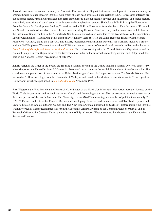**Jeemol Unni** is an Economist, currently an Associate Professor at the Gujarat Institute of Development Research, a semi-government Social Science research institute, with which she has been associated since October 1987. Her research interests are the informal sector, rural labour markets, non-farm employment, national income, savings and investment, and social sectors, particularly education and social security, with a particular emphasis on gender. She holds a M.Phil. in Applied Economics from the Centre for Development Studies, Trivandrum and a Ph.D. in Economics from the Sardar Patel Institute of Economic and Social Research, Ahmedabad, India. She has been a Visiting Fellow at Yale University, and a Senior Research Fellow at the Institute of Social Studies in the Netherlands. She has also worked as a Consultant to the World Bank, to the International Labour Organization 's South Asia Multi-disciplinary Advisory Team (SAAT) and Asian Regional Team for Employment Promotion (ARTEP), and to the NABARD and SIDBI, specialized banks in India. Recently her work has included a project with the Self Employed Women's Association (SEWA): to conduct a series of national level research studies on the theme of *Contribution of the Informal Sector to National Income.* She is also working with the Central Statistical Organization and the National Sample Survey Organization of the Government of India on the Informal Sector Employment and Output modules, part of the National Labour Force Survey of July 1999.

**Joann Vanek** is the Chief of the Social and Housing Statistics Section of the United Nations Statistics Division. Since 1980 when she joined the United Nations, Ms Vanek has been working to improve the availability and use of gender statistics. She coordinated the production of two issues of the United Nations global statistical report on women, The World's Women. She received a Ph.D. in sociology from the University of Michigan and based on her doctoral dissertation, wrote "Time Spent in Housework" which was published in *Scientific American* November 1974.

**Ann Weston** is the Vice President and Research Co-ordinator of the North-South Institute. Her current research focuses on the World Trade Organization and its implications for Canada and developing countries. She has conducted extensive research on the consequences of the North American Free Trade Agreement (NAFTA), resulting in a number of publications, notably The NAFTA Papers: Implications for Canada, Mexico and Developing Countries, and Jamaica After NAFTA: Trade Options and Sectoral Strategies. She co-authored Women and The New Trade Agenda, published by UNIFEM. Before joining the Institute, Weston worked as Senior Economics Officer in the Economic Affairs Division of the Commonwealth Secretariat, and as Research Officer at the Overseas Development Institute (ODI) in London. Weston received her degrees at the Universities of Sussex and London.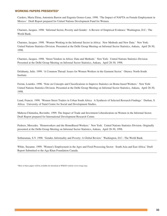#### **WORKING PAPERS PRESENTED\***

Cardero, Maria Elena, Antonieta Barron and Eugenia Gomez-Luna. 1998. 'The Impact of NAFTA on Female Employment in Mexico.' Draft Report prepared for United Nations Development Fund for Women.

Charmes, Jacques. 1998. 'Informal Sector, Poverty and Gender: A Review of Empirical Evidence.' Washington, D.C.: The World Bank.

Charmes, Jacques. 1998. 'Women Working in the Informal Sector in Africa: New Methods and New Data.' New York: United Nations Statistics Division. Presented at the Delhi Group Meeting on Informal Sector Statistics, Ankara, April 28-30, 1998.

Charmes, Jacques. 1998. 'Street Vendors in Africa: Data and Methods.' New York: United Nations Statistics Division. Presented at the Delhi Group Meeting on Informal Sector Statistics, Ankara, April 28-30, 1998.

Delahanty, Julie. 1999. 'A Common Thread: Issues for Women Workers in the Garment Sector.' Ottawa: North-South Institute.

Ferran, Lourdes. 1998. 'Note on Concepts and Classifications to Improve Statistics on Home-based Workers.' New York: United Nations Statistics Division. Presented at the Delhi Group Meeting on Informal Sector Statistics, Ankara, April 28-30, 1998.

Lund, Francie. 1998. 'Women Street Traders in Urban South Africa: A Synthesis of Selected Research Findings.' Durban, S. Africa: University of Natal Centre for Social and Development Studies.

Mabeza-Chimedza, Ruvimbo. 1999. The Impact of Trade and Investment Liberalization on Women in the Informal Sector. Draft Report prepared for International Development Research Centre.

Pedrero, Mercedes. 'Homeworkers and the HomeBased Workers.' New York: United Nations Statistics Division. Originally presented at the Delhi Group Meeting on Informal Sector Statistics, Ankara, April 28-30, 1998.

Sethuraman, S.V. 1998. 'Gender, Informality and Poverty: A Global Review.' Washington, D.C.: The World Bank.

White, Suzanne. 1999. 'Women's Employment in the Agro and Food Processing Sector: South Asia and East Africa.' Draft Report Submitted to the Aga Khan Foundation Canada.

\*Most of these papers will be available for download at WIEGO website (www.wiego.org).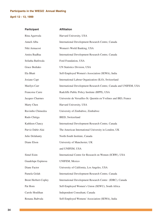# **Participant Affiliation** Rina Agarwala Harvard University, USA Anneli Alba International Development Research Centre, Canada Niki Armacost Women's World Banking, USA Amira BaaBaa International Development Research Centre, Canada Srilatha Batliwala Ford Foundation, USA Grace Bediako UN Statistics Division, USA Ela Bhatt Self-Employed Women's Association (SEWA), India Josiane Capt International Labour Organization (ILO), Switzerland Marilyn Carr International Development Research Centre, Canada and UNIFEM, USA Francoise Carre Radcliffe Public Policy Institute (RPPI), USA Jacques Charmes Universite de Versailles-St. Quentin en Yvelines and IRD, France Marty Chen Harvard University, USA Ruvimbo Chimedza University of Zimbabwe, Zimbabwe Rudo Chitiga IRED, Switzerland Kathleen Clancy International Development Research Centre, Canada Parviz Dabir-Alai The American International University in London, UK Julie Delahanty North-South Institute, Canada Diane Elson University of Manchester, UK and UNIFEM, USA Simel Esim International Centre for Research on Women (ICRW), USA Guadelupe Espinosa UNIFEM, Mexico Diane Factor University of California, Los Angeles, USA Pamela Golah International Development Research Centre, Canada Brent Herbert-Copley International Development Research Centre (IDRC), Canada Pat Horn Self-Employed Women's Union (SEWU), South Africa Carole Houlihan Independent Consultant, Canada Renana Jhabvala Self-Employed Womens' Association (SEWA), India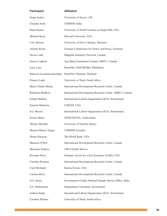| <b>Participant</b>        | <b>Affiliation</b>                                       |
|---------------------------|----------------------------------------------------------|
| <b>Susan Joekes</b>       | University of Sussex, UK                                 |
| Chandni Joshi             | UNIFEM, India                                            |
| Paula Kantor              | University of North Carolina at Chapel Hill, USA         |
| Michael Kerry             | Harvard University, USA                                  |
| A.D. Kiwara               | University of Dar es Salaam, Tanzania                    |
| Annette Kraus             | German Commission for Justice and Peace, Germany         |
| Deena Ladd                | Maquilla Solidarity Network, Canada                      |
| Nazeer Ladhani            | Aga Khan Foundation Canada (AKFC), Canada                |
| Lucy Lazo                 | HomeNet, PATAMABA, Phillipines                           |
| Rakawin Leechanavanichpan | HomeNet Thailand, Thailand                               |
| Frances Lund              | University of Natal, South Africa                        |
| Marie Claude Martin       | International Development Research Centre, Canada        |
| Rohinton Medhora          | International Development Research Centre (IDRC), Canada |
| Farhad Mehran             | International Labour Organization (ILO), Switzerland     |
| Santosh Mehrotra          | UNICEF, USA                                              |
| <b>Evy Messel</b>         | International Labour Organization (ILO), Switzerland     |
| Swasti Mitter             | INTECH/UNU, Netherlands                                  |
| Winnie Mitullah           | University of Nairobi, Kenya                             |
| Monica Munoz-Vargas       | UNIFEM, Ecuador                                          |
| Deepa Narayan             | The World Bank, USA                                      |
| Maureen O'Neil            | International Development Research Centre, Canada        |
| Mercedes Pedrero          | CRI-UNAM, Mexico                                         |
| Rosanna Perez             | Strategic Action for a Just Economy (SAJE), USA          |
| Caroline Pestieau         | International Development Research Centre, Canada        |
| Carol Richards            | Burma Forum, USA                                         |
| Carmen Roca               | International Development Research Centre, Canada        |
| N.S. Sastry               | Government of India National Sample Survey Office, India |
| S.V. Sethuraman           | Independent Consultant, Switzerland                      |
| Andrea Singh              | International Labour Organization (ILO), Switzerland     |
| Caroline Skinner          | University of Natal, South Africa                        |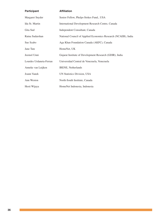| <b>Participant</b>      | <b>Affiliation</b>                                            |
|-------------------------|---------------------------------------------------------------|
| Margaret Snyder         | Senior Fellow, Phelps-Stokes Fund., USA                       |
| Ida St. Martin          | International Development Research Centre, Canada             |
| Gita Sud                | Independent Consultant, Canada                                |
| Ratna Sudarshan         | National Council of Applied Economics Research (NCAER), India |
| Sue Szabo               | Aga Khan Foundation Canada (AKFC), Canada                     |
| Jane Tate               | HomeNet, UK                                                   |
| Jeemol Unni             | Gujarat Institute of Development Research (GDIR), India       |
| Lourdes Urdaneta-Ferran | Universidad Central de Venezuela, Venezuela                   |
| Anneke van Luijken      | <b>IRENE</b> , Netherlands                                    |
| Joann Vanek             | UN Statistics Division, USA                                   |
| Ann Weston              | North-South Institute, Canada                                 |
| Hesti Wijaya            | HomeNet Indonesia, Indonesia                                  |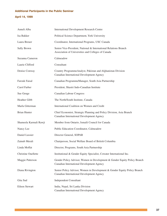# **Additional Participants in the Public Seminar**

# **April 14, 1999**

| Anneli Alba            | <b>International Development Research Centre</b>                                                                       |
|------------------------|------------------------------------------------------------------------------------------------------------------------|
| Isa Bakker             | Political Science Department, York University                                                                          |
| Laura Breuer           | Coordinator, International Programs, USC Canada                                                                        |
| Sally Brown            | Senior Vice-President, National & International Relations Branch<br>Association of Universities and Colleges of Canada |
| Suzanna Cameron        | Calmeadow                                                                                                              |
| Laurie Clifford        | Consultant                                                                                                             |
| Denise Conway          | Country ProgrammeAnalyst, Pakistan and Afghanistan Division<br>Canadian International Development Agency               |
| <b>Farouk Faisal</b>   | Canadian ProgrammeManager, South Asia Partnership                                                                      |
| Carol Farber           | President, Shastri Indo-Canadian Institute                                                                             |
| Sue Genge              | <b>Canadian Labour Congress</b>                                                                                        |
| Heather Gibb           | The North/South Institute, Canada                                                                                      |
| Marla Gitterman        | International Coalition on Women and Credit                                                                            |
| <b>Brian Hunter</b>    | Chief Economist, Strategic Planning and Policy Division, Asia Branch<br>Canadian International Development Agency      |
| Shameela Karmali Rawji | Member from Ontario, Ismaili Council for Canada                                                                        |
| Nancy Lee              | Public Education Coordinator, Calmeadow                                                                                |
| Daniel Lussier         | Director General, SOPAR                                                                                                |
| Zainub Merali          | Chairperson, Social Welfare Board of British Columbia                                                                  |
| Linda Moffat           | Director, Programs, South Asia Partnership                                                                             |
| Christine Ouellette    | Institutional & Gender Equity Specialist, Cowater International Inc.                                                   |
| Maggie Patterson       | Gender Policy Advisor, Women in Development & Gender Equity Policy Branch<br>Canadian International Development Agency |
| Diana Rivington        | Senior Policy Advisor, Women in Development & Gender Equity Policy Branch<br>Canadian International Development Agency |
| Gita Sud               | <b>Independent Consultant</b>                                                                                          |
| Eileen Stewart         | India, Nepal, Sri Lanka Division<br>Canadian International Development Agency                                          |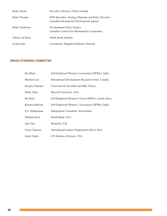| <b>Ricky Stuart</b> | Executive Director, Oxfam Canada                                                                   |
|---------------------|----------------------------------------------------------------------------------------------------|
| <b>Helen Thomas</b> | WID Specialist, Strategy Planning and Policy Division<br>Canadian International Development Agency |
| Brian Tomlinson     | Development Policy Analyst<br>Canadian Council for International Cooperation                       |
| Alison van Rooy     | North-South Institute                                                                              |
| Lynda Yanz          | Coordinator, Maquila Solidarity Network                                                            |

## **WIEGO STEERING COMMITTEE**

| Ela Bhatt       | Self-Employed Women's Association (SEWA), India   |
|-----------------|---------------------------------------------------|
| Marilyn Carr    | International Development Research Centre, Canada |
| Jacques Charmes | Universite de Versailles and IRD, France          |
| Marty Chen      | Harvard University, USA                           |
| Pat Horn        | Self-Employed Women's Union (SEWU), South Africa  |
| Renana Jhabvala | Self-Employed Women's Association (SEWA), India   |
| S.V. Sethuraman | Independent Consultant, Switzerland               |
| William Steel   | World Bank, USA                                   |
| Jane Tate       | HomeNet, UK                                       |
| Victor Tokman   | International Labour Organization (ILO), Peru     |
| Joann Vanek     | UN Statistics Division, USA                       |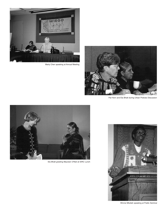

Marty Chen speaking at Annual Meeting



Pat Horn and Ela Bhatt during Urban Policies Discussion



Ela Bhatt greeting Maureen O'Neil at IDRC Lunch



Winnie Mitullah speaking at Public Seminar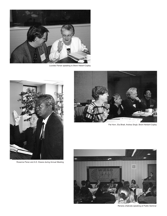

Lourdes Ferran speaking to Brent Hebert-Copley



Rosanna Perez and A.D. Kiwara during Annual Meeting



Pat Horn, Ela Bhatt, Andrea Singh, Brent Herbert-Copley



Renana Jhabvala speaking at Public Seminar